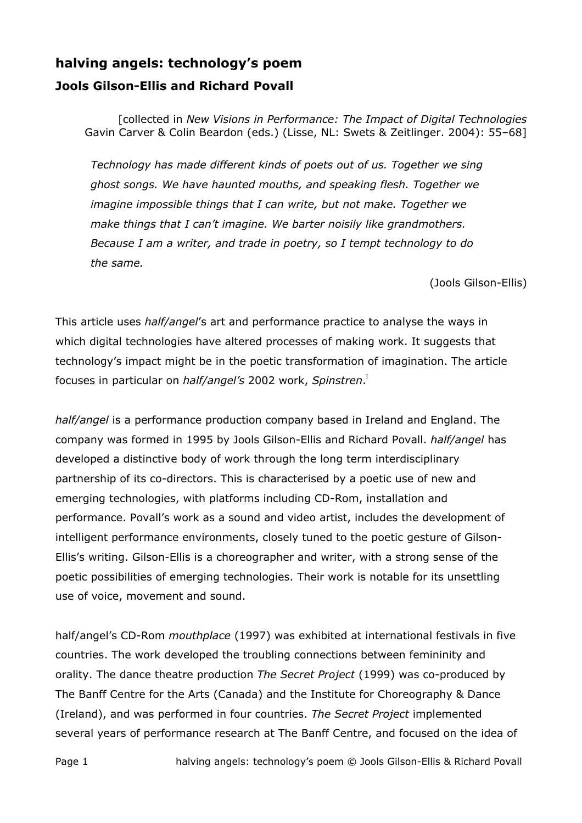# **halving angels: technology's poem Jools Gilson-Ellis and Richard Povall**

[collected in *New Visions in Performance: The Impact of Digital Technologies* Gavin Carver & Colin Beardon (eds.) (Lisse, NL: Swets & Zeitlinger. 2004): 55–68]

*Technology has made different kinds of poets out of us. Together we sing ghost songs. We have haunted mouths, and speaking flesh. Together we imagine impossible things that I can write, but not make. Together we make things that I can't imagine. We barter noisily like grandmothers. Because I am a writer, and trade in poetry, so I tempt technology to do the same.*

(Jools Gilson-Ellis)

This article uses *half/angel*'s art and performance practice to analyse the ways in which digital technologies have altered processes of making work. It suggests that technology's impact might be in the poetic transformation of imagination. The article focuses in particular on *half/angel's* 2002 work, *Spinstren*. i

*half/angel* is a performance production company based in Ireland and England. The company was formed in 1995 by Jools Gilson-Ellis and Richard Povall. *half/angel* has developed a distinctive body of work through the long term interdisciplinary partnership of its co-directors. This is characterised by a poetic use of new and emerging technologies, with platforms including CD-Rom, installation and performance. Povall's work as a sound and video artist, includes the development of intelligent performance environments, closely tuned to the poetic gesture of Gilson-Ellis's writing. Gilson-Ellis is a choreographer and writer, with a strong sense of the poetic possibilities of emerging technologies. Their work is notable for its unsettling use of voice, movement and sound.

half/angel's CD-Rom *mouthplace* (1997) was exhibited at international festivals in five countries. The work developed the troubling connections between femininity and orality. The dance theatre production *The Secret Project* (1999) was co-produced by The Banff Centre for the Arts (Canada) and the Institute for Choreography & Dance (Ireland), and was performed in four countries. *The Secret Project* implemented several years of performance research at The Banff Centre, and focused on the idea of

Page 1 halving angels: technology's poem © Jools Gilson-Ellis & Richard Povall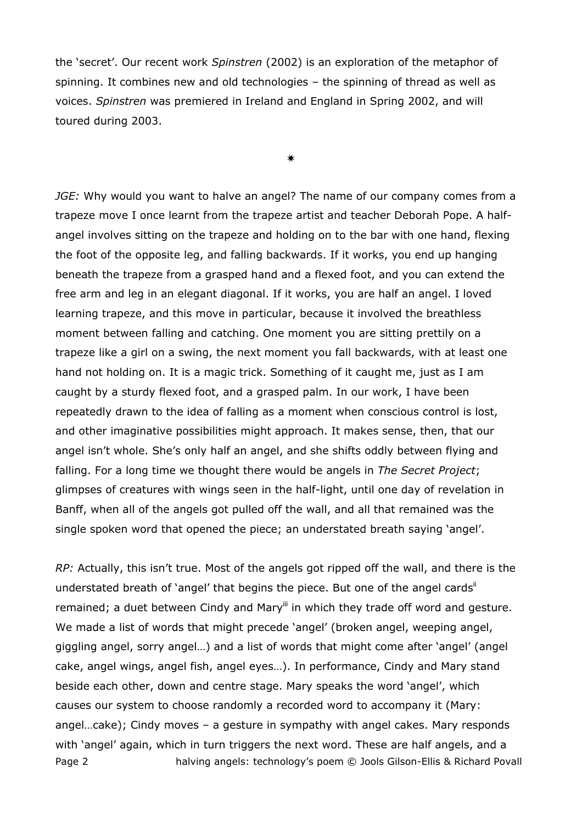the 'secret'. Our recent work *Spinstren* (2002) is an exploration of the metaphor of spinning. It combines new and old technologies – the spinning of thread as well as voices. *Spinstren* was premiered in Ireland and England in Spring 2002, and will toured during 2003.

✷

*JGE:* Why would you want to halve an angel? The name of our company comes from a trapeze move I once learnt from the trapeze artist and teacher Deborah Pope. A halfangel involves sitting on the trapeze and holding on to the bar with one hand, flexing the foot of the opposite leg, and falling backwards. If it works, you end up hanging beneath the trapeze from a grasped hand and a flexed foot, and you can extend the free arm and leg in an elegant diagonal. If it works, you are half an angel. I loved learning trapeze, and this move in particular, because it involved the breathless moment between falling and catching. One moment you are sitting prettily on a trapeze like a girl on a swing, the next moment you fall backwards, with at least one hand not holding on. It is a magic trick. Something of it caught me, just as I am caught by a sturdy flexed foot, and a grasped palm. In our work, I have been repeatedly drawn to the idea of falling as a moment when conscious control is lost, and other imaginative possibilities might approach. It makes sense, then, that our angel isn't whole. She's only half an angel, and she shifts oddly between flying and falling. For a long time we thought there would be angels in *The Secret Project*; glimpses of creatures with wings seen in the half-light, until one day of revelation in Banff, when all of the angels got pulled off the wall, and all that remained was the single spoken word that opened the piece; an understated breath saying 'angel'.

Page 2 halving angels: technology's poem © Jools Gilson-Ellis & Richard Povall *RP:* Actually, this isn't true. Most of the angels got ripped off the wall, and there is the understated breath of 'angel' that begins the piece. But one of the angel cards<sup>ii</sup> remained; a duet between Cindy and Mary<sup>iii</sup> in which they trade off word and gesture. We made a list of words that might precede 'angel' (broken angel, weeping angel, giggling angel, sorry angel…) and a list of words that might come after 'angel' (angel cake, angel wings, angel fish, angel eyes…). In performance, Cindy and Mary stand beside each other, down and centre stage. Mary speaks the word 'angel', which causes our system to choose randomly a recorded word to accompany it (Mary: angel…cake); Cindy moves – a gesture in sympathy with angel cakes. Mary responds with 'angel' again, which in turn triggers the next word. These are half angels, and a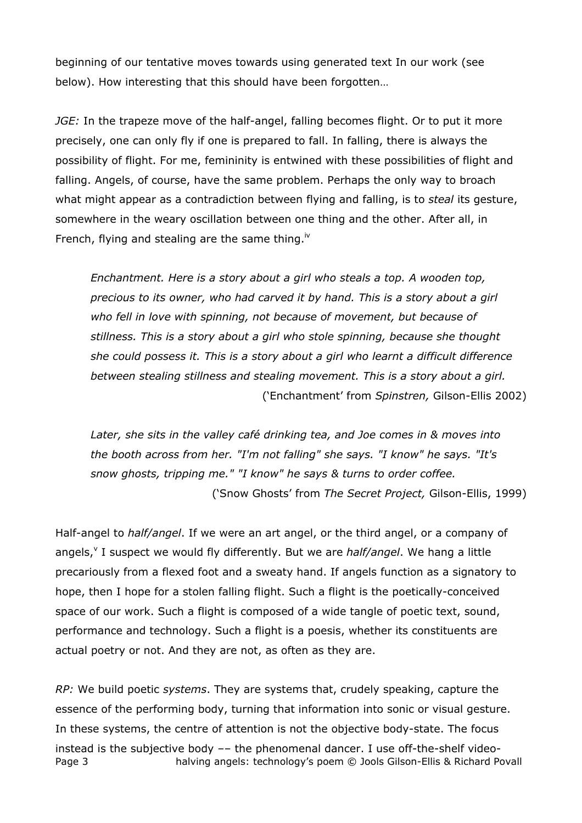beginning of our tentative moves towards using generated text In our work (see below). How interesting that this should have been forgotten…

*JGE:* In the trapeze move of the half-angel, falling becomes flight. Or to put it more precisely, one can only fly if one is prepared to fall. In falling, there is always the possibility of flight. For me, femininity is entwined with these possibilities of flight and falling. Angels, of course, have the same problem. Perhaps the only way to broach what might appear as a contradiction between flying and falling, is to *steal* its gesture, somewhere in the weary oscillation between one thing and the other. After all, in French, flying and stealing are the same thing.<sup>iv</sup>

*Enchantment. Here is a story about a girl who steals a top. A wooden top, precious to its owner, who had carved it by hand. This is a story about a girl who fell in love with spinning, not because of movement, but because of stillness. This is a story about a girl who stole spinning, because she thought she could possess it. This is a story about a girl who learnt a difficult difference between stealing stillness and stealing movement. This is a story about a girl.* ('Enchantment' from *Spinstren,* Gilson-Ellis 2002)

*Later, she sits in the valley café drinking tea, and Joe comes in & moves into the booth across from her. "I'm not falling" she says. "I know" he says. "It's snow ghosts, tripping me." "I know" he says & turns to order coffee.* ('Snow Ghosts' from *The Secret Project,* Gilson-Ellis, 1999)

Half-angel to *half/angel*. If we were an art angel, or the third angel, or a company of angels,<sup>v</sup> I suspect we would fly differently. But we are *half/angel*. We hang a little precariously from a flexed foot and a sweaty hand. If angels function as a signatory to hope, then I hope for a stolen falling flight. Such a flight is the poetically-conceived space of our work. Such a flight is composed of a wide tangle of poetic text, sound, performance and technology. Such a flight is a poesis, whether its constituents are actual poetry or not. And they are not, as often as they are.

Page 3 halving angels: technology's poem © Jools Gilson-Ellis & Richard Povall *RP:* We build poetic *systems*. They are systems that, crudely speaking, capture the essence of the performing body, turning that information into sonic or visual gesture. In these systems, the centre of attention is not the objective body-state. The focus instead is the subjective body –– the phenomenal dancer. I use off-the-shelf video-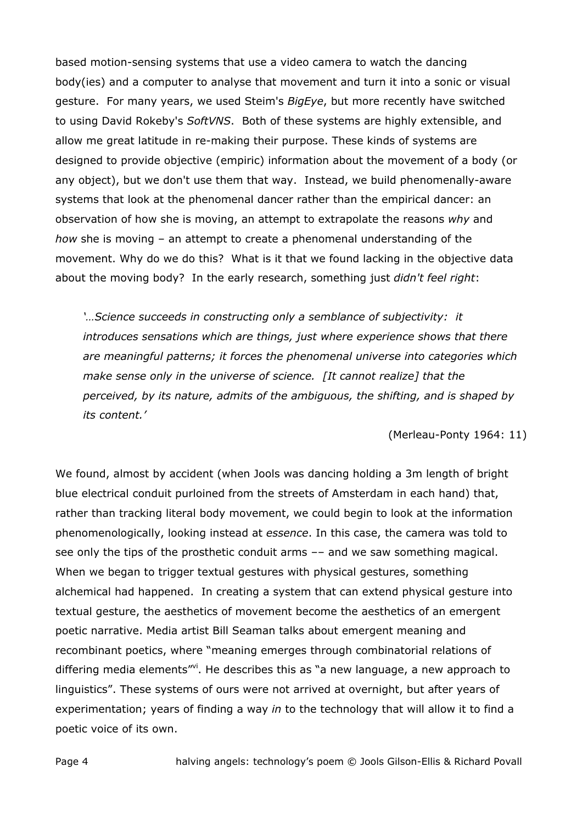based motion-sensing systems that use a video camera to watch the dancing body(ies) and a computer to analyse that movement and turn it into a sonic or visual gesture. For many years, we used Steim's *BigEye*, but more recently have switched to using David Rokeby's *SoftVNS*. Both of these systems are highly extensible, and allow me great latitude in re-making their purpose. These kinds of systems are designed to provide objective (empiric) information about the movement of a body (or any object), but we don't use them that way. Instead, we build phenomenally-aware systems that look at the phenomenal dancer rather than the empirical dancer: an observation of how she is moving, an attempt to extrapolate the reasons *why* and *how* she is moving – an attempt to create a phenomenal understanding of the movement. Why do we do this? What is it that we found lacking in the objective data about the moving body? In the early research, something just *didn't feel right*:

*'…Science succeeds in constructing only a semblance of subjectivity: it introduces sensations which are things, just where experience shows that there are meaningful patterns; it forces the phenomenal universe into categories which make sense only in the universe of science. [It cannot realize] that the perceived, by its nature, admits of the ambiguous, the shifting, and is shaped by its content.'*

(Merleau-Ponty 1964: 11)

We found, almost by accident (when Jools was dancing holding a 3m length of bright blue electrical conduit purloined from the streets of Amsterdam in each hand) that, rather than tracking literal body movement, we could begin to look at the information phenomenologically, looking instead at *essence*. In this case, the camera was told to see only the tips of the prosthetic conduit arms –– and we saw something magical. When we began to trigger textual gestures with physical gestures, something alchemical had happened. In creating a system that can extend physical gesture into textual gesture, the aesthetics of movement become the aesthetics of an emergent poetic narrative. Media artist Bill Seaman talks about emergent meaning and recombinant poetics, where "meaning emerges through combinatorial relations of differing media elements"<sup>vi</sup>. He describes this as "a new language, a new approach to linguistics". These systems of ours were not arrived at overnight, but after years of experimentation; years of finding a way *in* to the technology that will allow it to find a poetic voice of its own.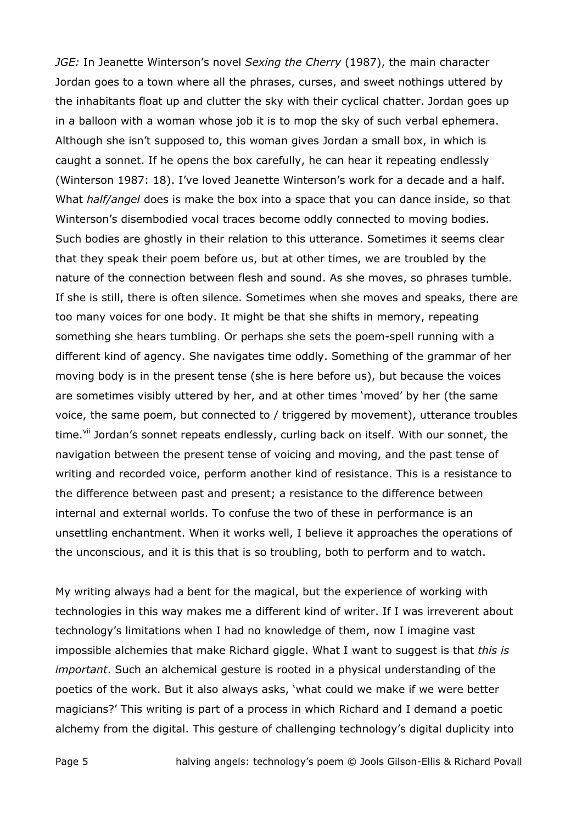*JGE:* In Jeanette Winterson's novel *Sexing the Cherry* (1987), the main character Jordan goes to a town where all the phrases, curses, and sweet nothings uttered by the inhabitants float up and clutter the sky with their cyclical chatter. Jordan goes up in a balloon with a woman whose job it is to mop the sky of such verbal ephemera. Although she isn't supposed to, this woman gives Jordan a small box, in which is caught a sonnet. If he opens the box carefully, he can hear it repeating endlessly (Winterson 1987: 18). I've loved Jeanette Winterson's work for a decade and a half. What *half/angel* does is make the box into a space that you can dance inside, so that Winterson's disembodied vocal traces become oddly connected to moving bodies. Such bodies are ghostly in their relation to this utterance. Sometimes it seems clear that they speak their poem before us, but at other times, we are troubled by the nature of the connection between flesh and sound. As she moves, so phrases tumble. If she is still, there is often silence. Sometimes when she moves and speaks, there are too many voices for one body. It might be that she shifts in memory, repeating something she hears tumbling. Or perhaps she sets the poem-spell running with a different kind of agency. She navigates time oddly. Something of the grammar of her moving body is in the present tense (she is here before us), but because the voices are sometimes visibly uttered by her, and at other times 'moved' by her (the same voice, the same poem, but connected to / triggered by movement), utterance troubles time.<sup>vii</sup> Jordan's sonnet repeats endlessly, curling back on itself. With our sonnet, the navigation between the present tense of voicing and moving, and the past tense of writing and recorded voice, perform another kind of resistance. This is a resistance to the difference between past and present; a resistance to the difference between internal and external worlds. To confuse the two of these in performance is an unsettling enchantment. When it works well, I believe it approaches the operations of the unconscious, and it is this that is so troubling, both to perform and to watch.

My writing always had a bent for the magical, but the experience of working with technologies in this way makes me a different kind of writer. If I was irreverent about technology's limitations when I had no knowledge of them, now I imagine vast impossible alchemies that make Richard giggle. What I want to suggest is that *this is important*. Such an alchemical gesture is rooted in a physical understanding of the poetics of the work. But it also always asks, 'what could we make if we were better magicians?' This writing is part of a process in which Richard and I demand a poetic alchemy from the digital. This gesture of challenging technology's digital duplicity into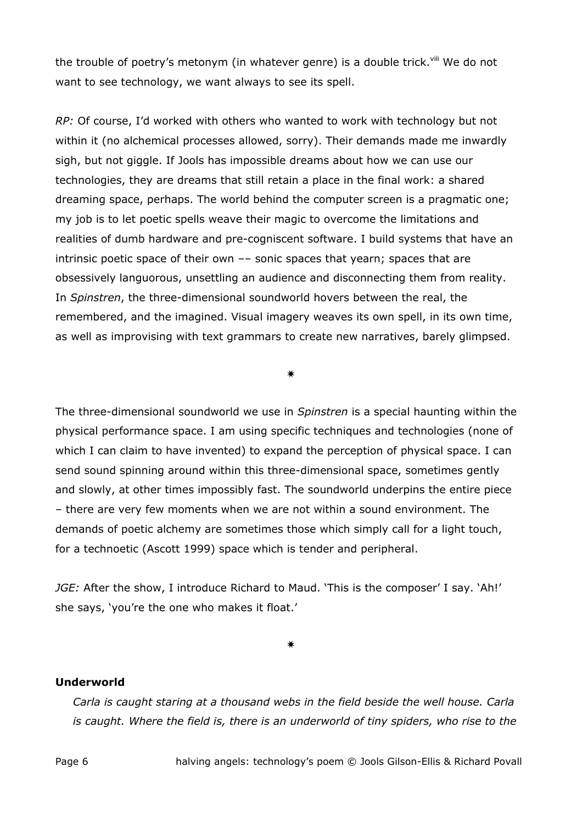the trouble of poetry's metonym (in whatever genre) is a double trick.<sup>viii</sup> We do not want to see technology, we want always to see its spell.

*RP:* Of course, I'd worked with others who wanted to work with technology but not within it (no alchemical processes allowed, sorry). Their demands made me inwardly sigh, but not giggle. If Jools has impossible dreams about how we can use our technologies, they are dreams that still retain a place in the final work: a shared dreaming space, perhaps. The world behind the computer screen is a pragmatic one; my job is to let poetic spells weave their magic to overcome the limitations and realities of dumb hardware and pre-cogniscent software. I build systems that have an intrinsic poetic space of their own –– sonic spaces that yearn; spaces that are obsessively languorous, unsettling an audience and disconnecting them from reality. In *Spinstren*, the three-dimensional soundworld hovers between the real, the remembered, and the imagined. Visual imagery weaves its own spell, in its own time, as well as improvising with text grammars to create new narratives, barely glimpsed.

✷

The three-dimensional soundworld we use in *Spinstren* is a special haunting within the physical performance space. I am using specific techniques and technologies (none of which I can claim to have invented) to expand the perception of physical space. I can send sound spinning around within this three-dimensional space, sometimes gently and slowly, at other times impossibly fast. The soundworld underpins the entire piece – there are very few moments when we are not within a sound environment. The demands of poetic alchemy are sometimes those which simply call for a light touch, for a technoetic (Ascott 1999) space which is tender and peripheral.

*JGE:* After the show, I introduce Richard to Maud. 'This is the composer' I say. 'Ah!' she says, 'you're the one who makes it float.'

#### ✷

## **Underworld**

*Carla is caught staring at a thousand webs in the field beside the well house. Carla is caught. Where the field is, there is an underworld of tiny spiders, who rise to the*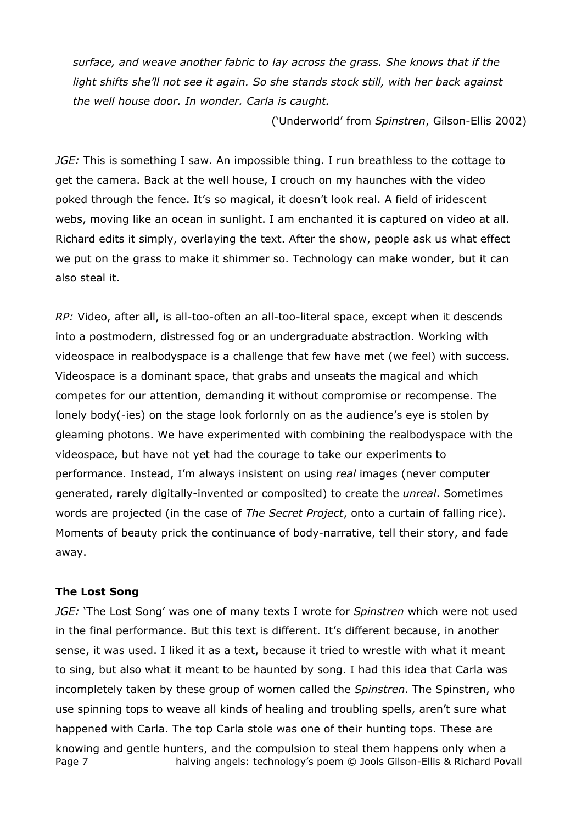*surface, and weave another fabric to lay across the grass. She knows that if the light shifts she'll not see it again. So she stands stock still, with her back against the well house door. In wonder. Carla is caught.*

('Underworld' from *Spinstren*, Gilson-Ellis 2002)

*JGE:* This is something I saw. An impossible thing. I run breathless to the cottage to get the camera. Back at the well house, I crouch on my haunches with the video poked through the fence. It's so magical, it doesn't look real. A field of iridescent webs, moving like an ocean in sunlight. I am enchanted it is captured on video at all. Richard edits it simply, overlaying the text. After the show, people ask us what effect we put on the grass to make it shimmer so. Technology can make wonder, but it can also steal it.

*RP:* Video, after all, is all-too-often an all-too-literal space, except when it descends into a postmodern, distressed fog or an undergraduate abstraction. Working with videospace in realbodyspace is a challenge that few have met (we feel) with success. Videospace is a dominant space, that grabs and unseats the magical and which competes for our attention, demanding it without compromise or recompense. The lonely body(-ies) on the stage look forlornly on as the audience's eye is stolen by gleaming photons. We have experimented with combining the realbodyspace with the videospace, but have not yet had the courage to take our experiments to performance. Instead, I'm always insistent on using *real* images (never computer generated, rarely digitally-invented or composited) to create the *unreal*. Sometimes words are projected (in the case of *The Secret Project*, onto a curtain of falling rice). Moments of beauty prick the continuance of body-narrative, tell their story, and fade away.

#### **The Lost Song**

Page 7 halving angels: technology's poem © Jools Gilson-Ellis & Richard Povall *JGE:* 'The Lost Song' was one of many texts I wrote for *Spinstren* which were not used in the final performance. But this text is different. It's different because, in another sense, it was used. I liked it as a text, because it tried to wrestle with what it meant to sing, but also what it meant to be haunted by song. I had this idea that Carla was incompletely taken by these group of women called the *Spinstren*. The Spinstren, who use spinning tops to weave all kinds of healing and troubling spells, aren't sure what happened with Carla. The top Carla stole was one of their hunting tops. These are knowing and gentle hunters, and the compulsion to steal them happens only when a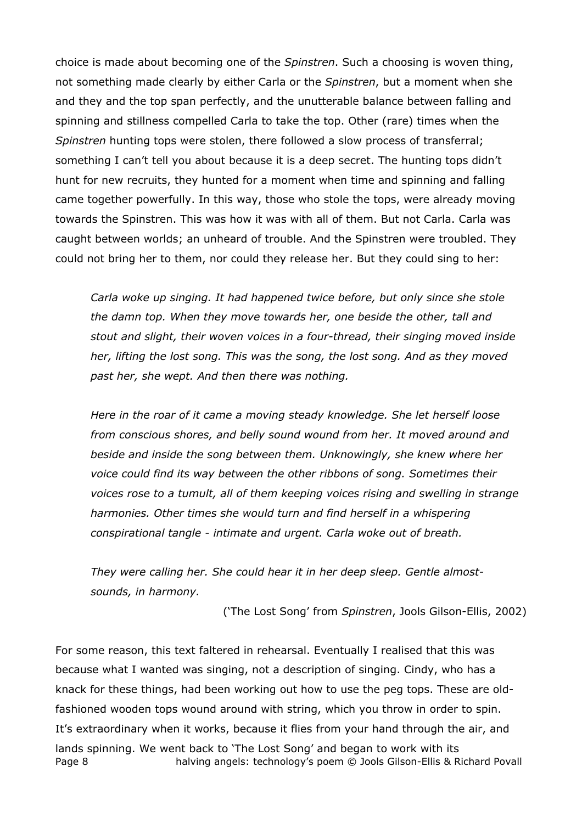choice is made about becoming one of the *Spinstren*. Such a choosing is woven thing, not something made clearly by either Carla or the *Spinstren*, but a moment when she and they and the top span perfectly, and the unutterable balance between falling and spinning and stillness compelled Carla to take the top. Other (rare) times when the *Spinstren* hunting tops were stolen, there followed a slow process of transferral; something I can't tell you about because it is a deep secret. The hunting tops didn't hunt for new recruits, they hunted for a moment when time and spinning and falling came together powerfully. In this way, those who stole the tops, were already moving towards the Spinstren. This was how it was with all of them. But not Carla. Carla was caught between worlds; an unheard of trouble. And the Spinstren were troubled. They could not bring her to them, nor could they release her. But they could sing to her:

*Carla woke up singing. It had happened twice before, but only since she stole the damn top. When they move towards her, one beside the other, tall and stout and slight, their woven voices in a four-thread, their singing moved inside her, lifting the lost song. This was the song, the lost song. And as they moved past her, she wept. And then there was nothing.*

*Here in the roar of it came a moving steady knowledge. She let herself loose from conscious shores, and belly sound wound from her. It moved around and beside and inside the song between them. Unknowingly, she knew where her voice could find its way between the other ribbons of song. Sometimes their voices rose to a tumult, all of them keeping voices rising and swelling in strange harmonies. Other times she would turn and find herself in a whispering conspirational tangle - intimate and urgent. Carla woke out of breath.*

*They were calling her. She could hear it in her deep sleep. Gentle almostsounds, in harmony.*

('The Lost Song' from *Spinstren*, Jools Gilson-Ellis, 2002)

Page 8 halving angels: technology's poem © Jools Gilson-Ellis & Richard Povall For some reason, this text faltered in rehearsal. Eventually I realised that this was because what I wanted was singing, not a description of singing. Cindy, who has a knack for these things, had been working out how to use the peg tops. These are oldfashioned wooden tops wound around with string, which you throw in order to spin. It's extraordinary when it works, because it flies from your hand through the air, and lands spinning. We went back to 'The Lost Song' and began to work with its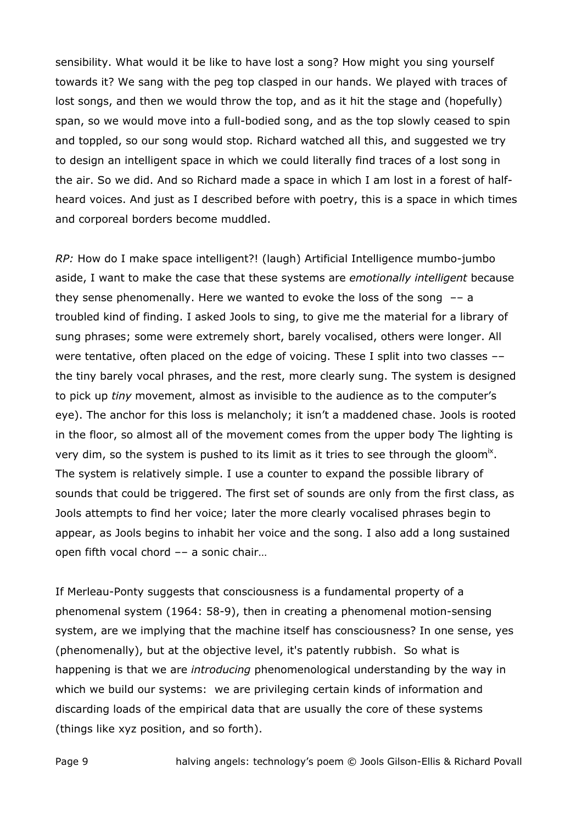sensibility. What would it be like to have lost a song? How might you sing yourself towards it? We sang with the peg top clasped in our hands. We played with traces of lost songs, and then we would throw the top, and as it hit the stage and (hopefully) span, so we would move into a full-bodied song, and as the top slowly ceased to spin and toppled, so our song would stop. Richard watched all this, and suggested we try to design an intelligent space in which we could literally find traces of a lost song in the air. So we did. And so Richard made a space in which I am lost in a forest of halfheard voices. And just as I described before with poetry, this is a space in which times and corporeal borders become muddled.

*RP:* How do I make space intelligent?! (laugh) Artificial Intelligence mumbo-jumbo aside, I want to make the case that these systems are *emotionally intelligent* because they sense phenomenally. Here we wanted to evoke the loss of the song  $-$ - a troubled kind of finding. I asked Jools to sing, to give me the material for a library of sung phrases; some were extremely short, barely vocalised, others were longer. All were tentative, often placed on the edge of voicing. These I split into two classes -the tiny barely vocal phrases, and the rest, more clearly sung. The system is designed to pick up *tiny* movement, almost as invisible to the audience as to the computer's eye). The anchor for this loss is melancholy; it isn't a maddened chase. Jools is rooted in the floor, so almost all of the movement comes from the upper body The lighting is very dim, so the system is pushed to its limit as it tries to see through the gloom<sup>ix</sup>. The system is relatively simple. I use a counter to expand the possible library of sounds that could be triggered. The first set of sounds are only from the first class, as Jools attempts to find her voice; later the more clearly vocalised phrases begin to appear, as Jools begins to inhabit her voice and the song. I also add a long sustained open fifth vocal chord –– a sonic chair…

If Merleau-Ponty suggests that consciousness is a fundamental property of a phenomenal system (1964: 58-9), then in creating a phenomenal motion-sensing system, are we implying that the machine itself has consciousness? In one sense, yes (phenomenally), but at the objective level, it's patently rubbish. So what is happening is that we are *introducing* phenomenological understanding by the way in which we build our systems: we are privileging certain kinds of information and discarding loads of the empirical data that are usually the core of these systems (things like xyz position, and so forth).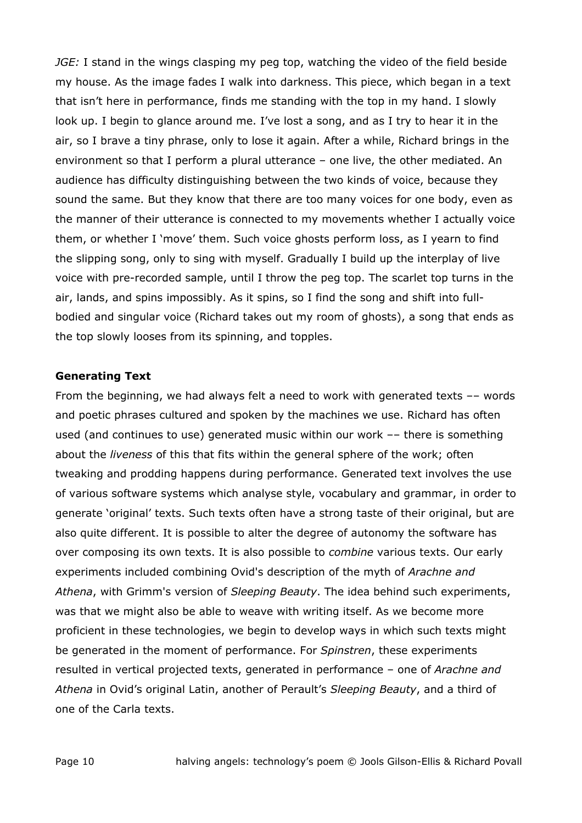*JGE:* I stand in the wings clasping my peg top, watching the video of the field beside my house. As the image fades I walk into darkness. This piece, which began in a text that isn't here in performance, finds me standing with the top in my hand. I slowly look up. I begin to glance around me. I've lost a song, and as I try to hear it in the air, so I brave a tiny phrase, only to lose it again. After a while, Richard brings in the environment so that I perform a plural utterance – one live, the other mediated. An audience has difficulty distinguishing between the two kinds of voice, because they sound the same. But they know that there are too many voices for one body, even as the manner of their utterance is connected to my movements whether I actually voice them, or whether I 'move' them. Such voice ghosts perform loss, as I yearn to find the slipping song, only to sing with myself. Gradually I build up the interplay of live voice with pre-recorded sample, until I throw the peg top. The scarlet top turns in the air, lands, and spins impossibly. As it spins, so I find the song and shift into fullbodied and singular voice (Richard takes out my room of ghosts), a song that ends as the top slowly looses from its spinning, and topples.

## **Generating Text**

From the beginning, we had always felt a need to work with generated texts –– words and poetic phrases cultured and spoken by the machines we use. Richard has often used (and continues to use) generated music within our work –– there is something about the *liveness* of this that fits within the general sphere of the work; often tweaking and prodding happens during performance. Generated text involves the use of various software systems which analyse style, vocabulary and grammar, in order to generate 'original' texts. Such texts often have a strong taste of their original, but are also quite different. It is possible to alter the degree of autonomy the software has over composing its own texts. It is also possible to *combine* various texts. Our early experiments included combining Ovid's description of the myth of *Arachne and Athena*, with Grimm's version of *Sleeping Beauty*. The idea behind such experiments, was that we might also be able to weave with writing itself. As we become more proficient in these technologies, we begin to develop ways in which such texts might be generated in the moment of performance. For *Spinstren*, these experiments resulted in vertical projected texts, generated in performance – one of *Arachne and Athena* in Ovid's original Latin, another of Perault's *Sleeping Beauty*, and a third of one of the Carla texts.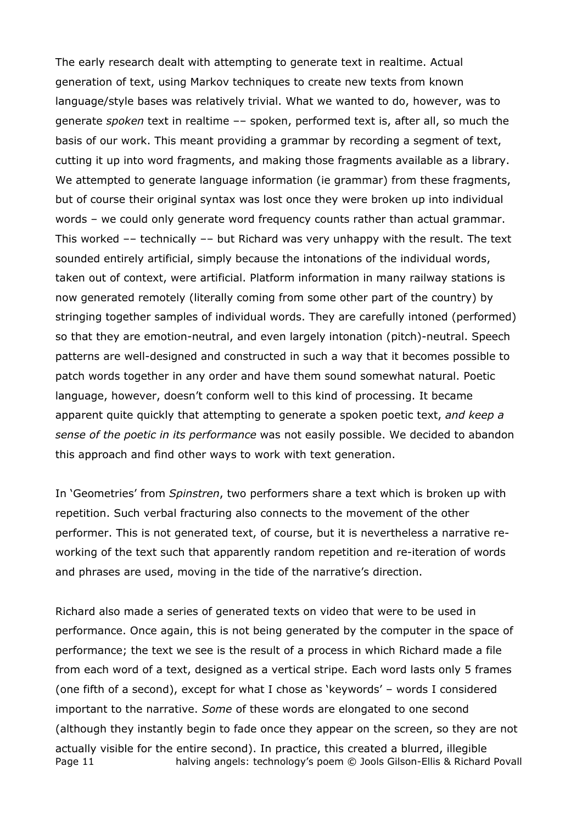The early research dealt with attempting to generate text in realtime. Actual generation of text, using Markov techniques to create new texts from known language/style bases was relatively trivial. What we wanted to do, however, was to generate *spoken* text in realtime –– spoken, performed text is, after all, so much the basis of our work. This meant providing a grammar by recording a segment of text, cutting it up into word fragments, and making those fragments available as a library. We attempted to generate language information (ie grammar) from these fragments, but of course their original syntax was lost once they were broken up into individual words – we could only generate word frequency counts rather than actual grammar. This worked –– technically –– but Richard was very unhappy with the result. The text sounded entirely artificial, simply because the intonations of the individual words, taken out of context, were artificial. Platform information in many railway stations is now generated remotely (literally coming from some other part of the country) by stringing together samples of individual words. They are carefully intoned (performed) so that they are emotion-neutral, and even largely intonation (pitch)-neutral. Speech patterns are well-designed and constructed in such a way that it becomes possible to patch words together in any order and have them sound somewhat natural. Poetic language, however, doesn't conform well to this kind of processing. It became apparent quite quickly that attempting to generate a spoken poetic text, *and keep a sense of the poetic in its performance* was not easily possible. We decided to abandon this approach and find other ways to work with text generation.

In 'Geometries' from *Spinstren*, two performers share a text which is broken up with repetition. Such verbal fracturing also connects to the movement of the other performer. This is not generated text, of course, but it is nevertheless a narrative reworking of the text such that apparently random repetition and re-iteration of words and phrases are used, moving in the tide of the narrative's direction.

Page 11 halving angels: technology's poem © Jools Gilson-Ellis & Richard Povall Richard also made a series of generated texts on video that were to be used in performance. Once again, this is not being generated by the computer in the space of performance; the text we see is the result of a process in which Richard made a file from each word of a text, designed as a vertical stripe. Each word lasts only 5 frames (one fifth of a second), except for what I chose as 'keywords' – words I considered important to the narrative. *Some* of these words are elongated to one second (although they instantly begin to fade once they appear on the screen, so they are not actually visible for the entire second). In practice, this created a blurred, illegible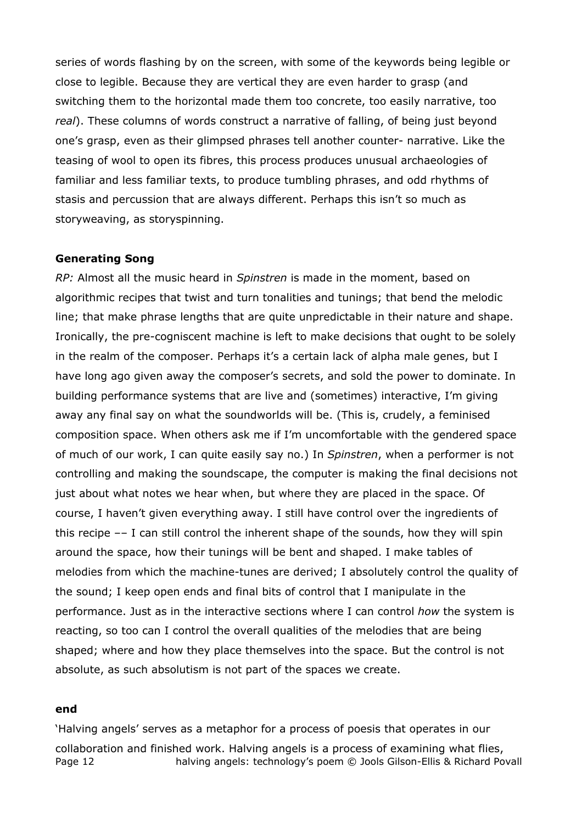series of words flashing by on the screen, with some of the keywords being legible or close to legible. Because they are vertical they are even harder to grasp (and switching them to the horizontal made them too concrete, too easily narrative, too *real*). These columns of words construct a narrative of falling, of being just beyond one's grasp, even as their glimpsed phrases tell another counter- narrative. Like the teasing of wool to open its fibres, this process produces unusual archaeologies of familiar and less familiar texts, to produce tumbling phrases, and odd rhythms of stasis and percussion that are always different. Perhaps this isn't so much as storyweaving, as storyspinning.

#### **Generating Song**

*RP:* Almost all the music heard in *Spinstren* is made in the moment, based on algorithmic recipes that twist and turn tonalities and tunings; that bend the melodic line; that make phrase lengths that are quite unpredictable in their nature and shape. Ironically, the pre-cogniscent machine is left to make decisions that ought to be solely in the realm of the composer. Perhaps it's a certain lack of alpha male genes, but I have long ago given away the composer's secrets, and sold the power to dominate. In building performance systems that are live and (sometimes) interactive, I'm giving away any final say on what the soundworlds will be. (This is, crudely, a feminised composition space. When others ask me if I'm uncomfortable with the gendered space of much of our work, I can quite easily say no.) In *Spinstren*, when a performer is not controlling and making the soundscape, the computer is making the final decisions not just about what notes we hear when, but where they are placed in the space. Of course, I haven't given everything away. I still have control over the ingredients of this recipe –– I can still control the inherent shape of the sounds, how they will spin around the space, how their tunings will be bent and shaped. I make tables of melodies from which the machine-tunes are derived; I absolutely control the quality of the sound; I keep open ends and final bits of control that I manipulate in the performance. Just as in the interactive sections where I can control *how* the system is reacting, so too can I control the overall qualities of the melodies that are being shaped; where and how they place themselves into the space. But the control is not absolute, as such absolutism is not part of the spaces we create.

## **end**

Page 12 halving angels: technology's poem © Jools Gilson-Ellis & Richard Povall 'Halving angels' serves as a metaphor for a process of poesis that operates in our collaboration and finished work. Halving angels is a process of examining what flies,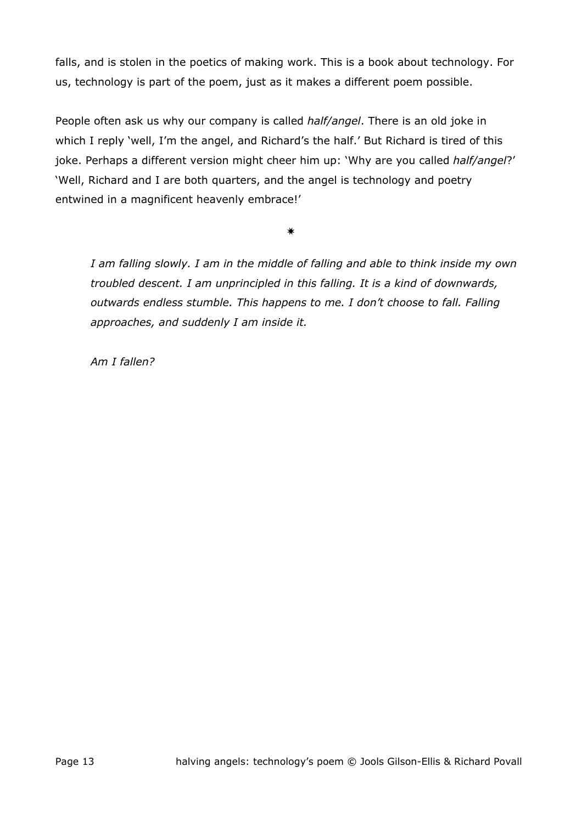falls, and is stolen in the poetics of making work. This is a book about technology. For us, technology is part of the poem, just as it makes a different poem possible.

People often ask us why our company is called *half/angel*. There is an old joke in which I reply 'well, I'm the angel, and Richard's the half.' But Richard is tired of this joke. Perhaps a different version might cheer him up: 'Why are you called *half/angel*?' 'Well, Richard and I are both quarters, and the angel is technology and poetry entwined in a magnificent heavenly embrace!'

✷

*I am falling slowly. I am in the middle of falling and able to think inside my own troubled descent. I am unprincipled in this falling. It is a kind of downwards, outwards endless stumble. This happens to me. I don't choose to fall. Falling approaches, and suddenly I am inside it.*

*Am I fallen?*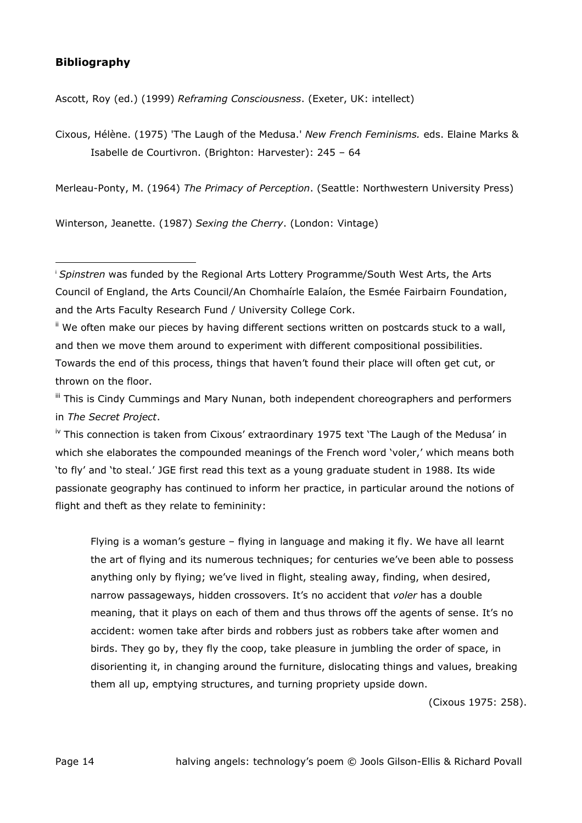# **Bibliography**

j

Ascott, Roy (ed.) (1999) *Reframing Consciousness*. (Exeter, UK: intellect)

Cixous, Hélène. (1975) 'The Laugh of the Medusa.' *New French Feminisms.* eds. Elaine Marks & Isabelle de Courtivron. (Brighton: Harvester): 245 – 64

Merleau-Ponty, M. (1964) *The Primacy of Perception*. (Seattle: Northwestern University Press)

Winterson, Jeanette. (1987) *Sexing the Cherry*. (London: Vintage)

i *Spinstren* was funded by the Regional Arts Lottery Programme/South West Arts, the Arts Council of England, the Arts Council/An Chomhaírle Ealaíon, the Esmée Fairbairn Foundation, and the Arts Faculty Research Fund / University College Cork.

<sup>ii</sup> We often make our pieces by having different sections written on postcards stuck to a wall, and then we move them around to experiment with different compositional possibilities. Towards the end of this process, things that haven't found their place will often get cut, or thrown on the floor.

III This is Cindy Cummings and Mary Nunan, both independent choreographers and performers in *The Secret Project*.

<sup>iv</sup> This connection is taken from Cixous' extraordinary 1975 text 'The Laugh of the Medusa' in which she elaborates the compounded meanings of the French word 'voler,' which means both 'to fly' and 'to steal.' JGE first read this text as a young graduate student in 1988. Its wide passionate geography has continued to inform her practice, in particular around the notions of flight and theft as they relate to femininity:

Flying is a woman's gesture – flying in language and making it fly. We have all learnt the art of flying and its numerous techniques; for centuries we've been able to possess anything only by flying; we've lived in flight, stealing away, finding, when desired, narrow passageways, hidden crossovers. It's no accident that *voler* has a double meaning, that it plays on each of them and thus throws off the agents of sense. It's no accident: women take after birds and robbers just as robbers take after women and birds. They go by, they fly the coop, take pleasure in jumbling the order of space, in disorienting it, in changing around the furniture, dislocating things and values, breaking them all up, emptying structures, and turning propriety upside down.

(Cixous 1975: 258).